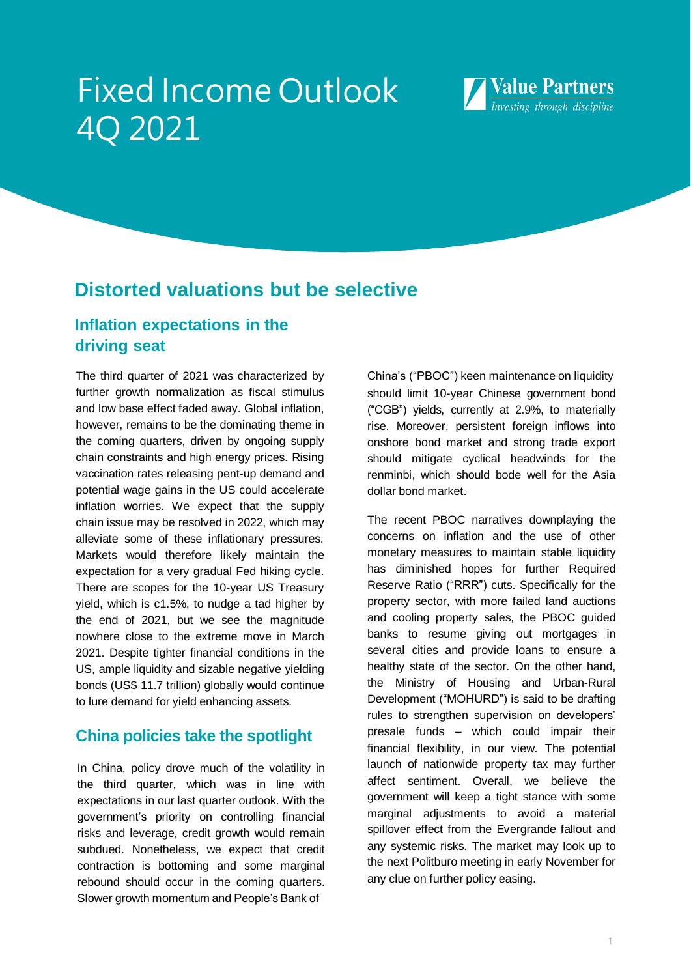# Fixed Income Outlook 4Q 2021



# **Distorted valuations but be selective**

# **Inflation expectations in the driving seat**

The third quarter of 2021 was characterized by further growth normalization as fiscal stimulus and low base effect faded away. Global inflation, however, remains to be the dominating theme in the coming quarters, driven by ongoing supply chain constraints and high energy prices. Rising vaccination rates releasing pent-up demand and potential wage gains in the US could accelerate inflation worries. We expect that the supply chain issue may be resolved in 2022, which may alleviate some of these inflationary pressures. Markets would therefore likely maintain the expectation for a very gradual Fed hiking cycle. There are scopes for the 10-year US Treasury yield, which is c1.5%, to nudge a tad higher by the end of 2021, but we see the magnitude nowhere close to the extreme move in March 2021. Despite tighter financial conditions in the US, ample liquidity and sizable negative yielding bonds (US\$ 11.7 trillion) globally would continue to lure demand for yield enhancing assets.

# **China policies take the spotlight**

In China, policy drove much of the volatility in the third quarter, which was in line with expectations in our last quarter outlook. With the government's priority on controlling financial risks and leverage, credit growth would remain subdued. Nonetheless, we expect that credit contraction is bottoming and some marginal rebound should occur in the coming quarters. Slower growth momentum and People's Bank of

China's ("PBOC") keen maintenance on liquidity should limit 10-year Chinese government bond ("CGB") yields, currently at 2.9%, to materially rise. Moreover, persistent foreign inflows into onshore bond market and strong trade export should mitigate cyclical headwinds for the renminbi, which should bode well for the Asia dollar bond market.

The recent PBOC narratives downplaying the concerns on inflation and the use of other monetary measures to maintain stable liquidity has diminished hopes for further Required Reserve Ratio ("RRR") cuts. Specifically for the property sector, with more failed land auctions and cooling property sales, the PBOC guided banks to resume giving out mortgages in several cities and provide loans to ensure a healthy state of the sector. On the other hand, the Ministry of Housing and Urban-Rural Development ("MOHURD") is said to be drafting rules to strengthen supervision on developers' presale funds – which could impair their financial flexibility, in our view. The potential launch of nationwide property tax may further affect sentiment. Overall, we believe the government will keep a tight stance with some marginal adjustments to avoid a material spillover effect from the Evergrande fallout and any systemic risks. The market may look up to the next Politburo meeting in early November for any clue on further policy easing.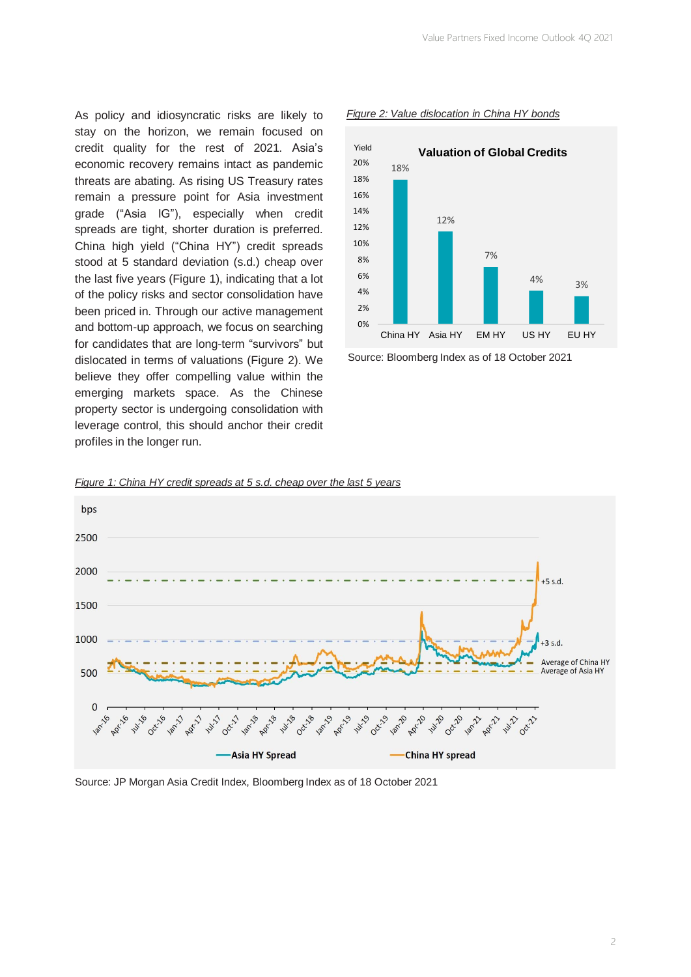As policy and idiosyncratic risks are likely to stay on the horizon, we remain focused on credit quality for the rest of 2021. Asia's economic recovery remains intact as pandemic threats are abating. As rising US Treasury rates remain a pressure point for Asia investment grade ("Asia IG"), especially when credit spreads are tight, shorter duration is preferred. China high yield ("China HY") credit spreads stood at 5 standard deviation (s.d.) cheap over the last five years (Figure 1), indicating that a lot of the policy risks and sector consolidation have been priced in. Through our active management and bottom-up approach, we focus on searching for candidates that are long-term "survivors" but dislocated in terms of valuations (Figure 2). We believe they offer compelling value within the emerging markets space. As the Chinese property sector is undergoing consolidation with leverage control, this should anchor their credit profiles in the longer run.



### *Figure 2: Value dislocation in China HY bonds*







### Source: JP Morgan Asia Credit Index, Bloomberg Index as of 18 October 2021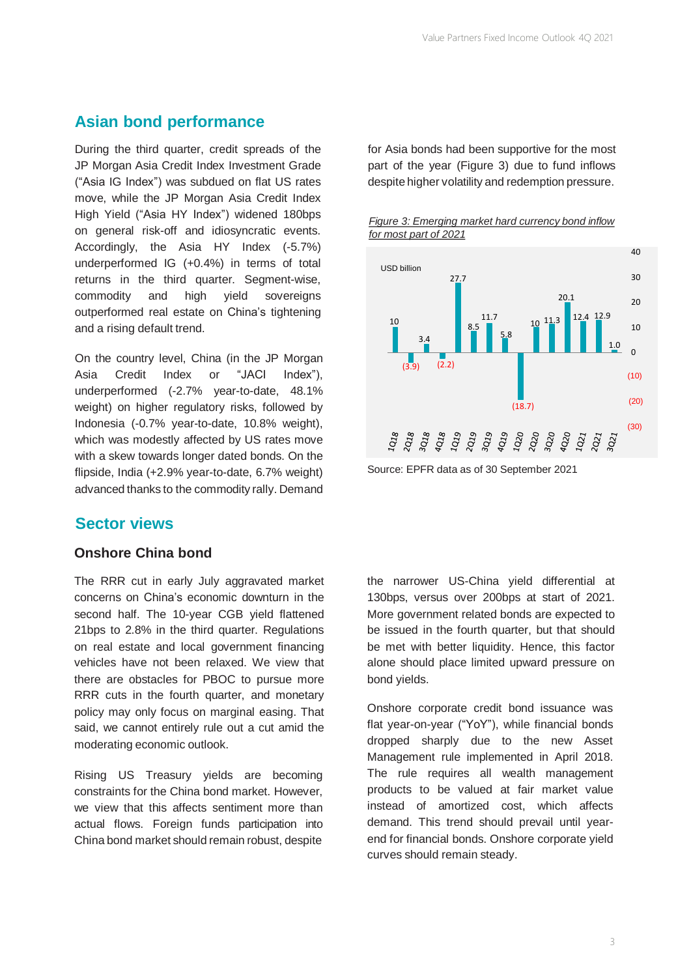# **Asian bond performance**

During the third quarter, credit spreads of the JP Morgan Asia Credit Index Investment Grade ("Asia IG Index") was subdued on flat US rates move, while the JP Morgan Asia Credit Index High Yield ("Asia HY Index") widened 180bps on general risk-off and idiosyncratic events. Accordingly, the Asia HY Index (-5.7%) underperformed IG (+0.4%) in terms of total returns in the third quarter. Segment-wise, commodity and high yield sovereigns outperformed real estate on China's tightening and a rising default trend.

On the country level, China (in the JP Morgan Asia Credit Index or "JACI Index"), underperformed (-2.7% year-to-date, 48.1% weight) on higher regulatory risks, followed by Indonesia (-0.7% year-to-date, 10.8% weight), which was modestly affected by US rates move with a skew towards longer dated bonds. On the flipside, India (+2.9% year-to-date, 6.7% weight) advanced thanks to the commodity rally. Demand

# **Sector views**

# **Onshore China bond**

The RRR cut in early July aggravated market concerns on China's economic downturn in the second half. The 10-year CGB yield flattened 21bps to 2.8% in the third quarter. Regulations on real estate and local government financing vehicles have not been relaxed. We view that there are obstacles for PBOC to pursue more RRR cuts in the fourth quarter, and monetary policy may only focus on marginal easing. That said, we cannot entirely rule out a cut amid the moderating economic outlook.

Rising US Treasury yields are becoming constraints for the China bond market. However, we view that this affects sentiment more than actual flows. Foreign funds participation into China bond market should remain robust, despite

for Asia bonds had been supportive for the most part of the year (Figure 3) due to fund inflows despite higher volatility and redemption pressure.





Source: EPFR data as of 30 September 2021

the narrower US-China yield differential at 130bps, versus over 200bps at start of 2021. More government related bonds are expected to be issued in the fourth quarter, but that should be met with better liquidity. Hence, this factor alone should place limited upward pressure on bond yields.

Onshore corporate credit bond issuance was flat year-on-year ("YoY"), while financial bonds dropped sharply due to the new Asset Management rule implemented in April 2018. The rule requires all wealth management products to be valued at fair market value instead of amortized cost, which affects demand. This trend should prevail until yearend for financial bonds. Onshore corporate yield curves should remain steady.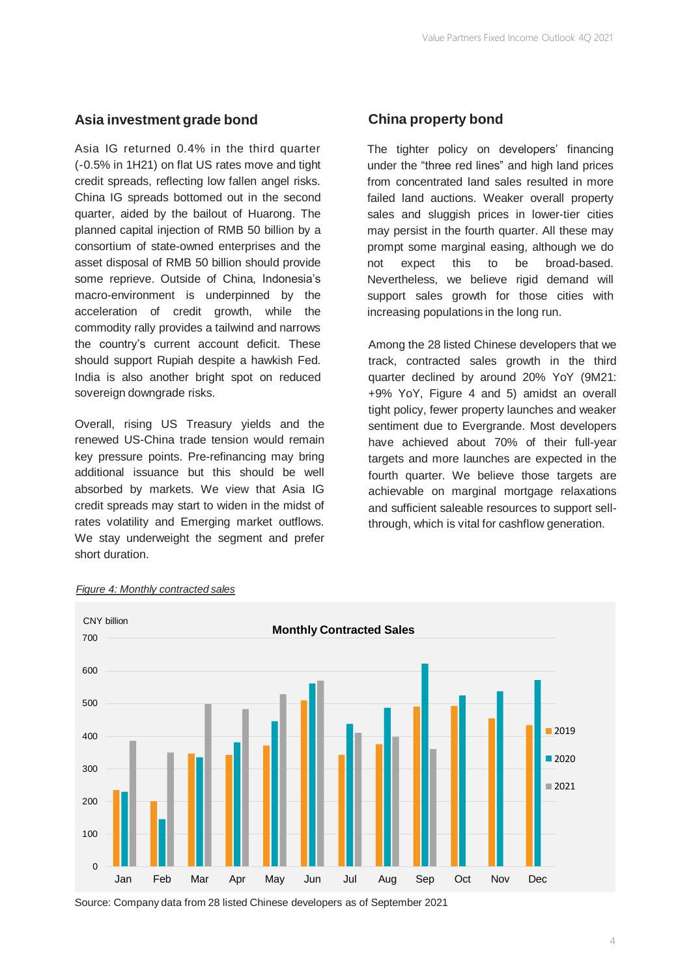# **Asia investment grade bond**

Asia IG returned 0.4% in the third quarter (-0.5% in 1H21) on flat US rates move and tight credit spreads, reflecting low fallen angel risks. China IG spreads bottomed out in the second quarter, aided by the bailout of Huarong. The planned capital injection of RMB 50 billion by a consortium of state-owned enterprises and the asset disposal of RMB 50 billion should provide some reprieve. Outside of China, Indonesia's macro-environment is underpinned by the acceleration of credit growth, while the commodity rally provides a tailwind and narrows the country's current account deficit. These should support Rupiah despite a hawkish Fed. India is also another bright spot on reduced sovereign downgrade risks.

Overall, rising US Treasury yields and the renewed US-China trade tension would remain key pressure points. Pre-refinancing may bring additional issuance but this should be well absorbed by markets. We view that Asia IG credit spreads may start to widen in the midst of rates volatility and Emerging market outflows. We stay underweight the segment and prefer short duration.

# **China property bond**

The tighter policy on developers' financing under the "three red lines" and high land prices from concentrated land sales resulted in more failed land auctions. Weaker overall property sales and sluggish prices in lower-tier cities may persist in the fourth quarter. All these may prompt some marginal easing, although we do not expect this to be broad-based. Nevertheless, we believe rigid demand will support sales growth for those cities with increasing populations in the long run.

Among the 28 listed Chinese developers that we track, contracted sales growth in the third quarter declined by around 20% YoY (9M21: +9% YoY, Figure 4 and 5) amidst an overall tight policy, fewer property launches and weaker sentiment due to Evergrande. Most developers have achieved about 70% of their full-year targets and more launches are expected in the fourth quarter. We believe those targets are achievable on marginal mortgage relaxations and sufficient saleable resources to support sellthrough, which is vital for cashflow generation.



### *Figure 4: Monthly contracted sales*

Source: Company data from 28 listed Chinese developers as of September 2021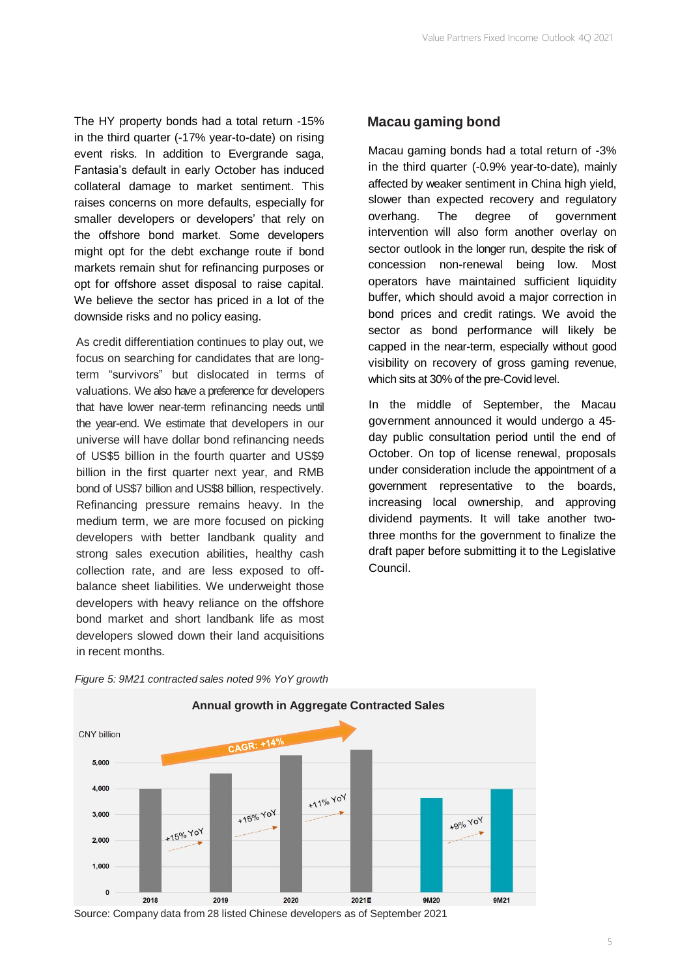The HY property bonds had a total return -15% **Macau gaming bond**  in the third quarter (-17% year-to-date) on rising event risks. In addition to Evergrande saga, Fantasia's default in early October has induced collateral damage to market sentiment. This raises concerns on more defaults, especially for smaller developers or developers' that rely on the offshore bond market. Some developers might opt for the debt exchange route if bond markets remain shut for refinancing purposes or opt for offshore asset disposal to raise capital. We believe the sector has priced in a lot of the downside risks and no policy easing.

As credit differentiation continues to play out, we focus on searching for candidates that are longterm "survivors" but dislocated in terms of valuations. We also have a preference for developers that have lower near-term refinancing needs until the year-end. We estimate that developers in our universe will have dollar bond refinancing needs of US\$5 billion in the fourth quarter and US\$9 billion in the first quarter next year, and RMB bond of US\$7 billion and US\$8 billion, respectively. Refinancing pressure remains heavy. In the medium term, we are more focused on picking developers with better landbank quality and strong sales execution abilities, healthy cash collection rate, and are less exposed to offbalance sheet liabilities. We underweight those developers with heavy reliance on the offshore bond market and short landbank life as most developers slowed down their land acquisitions in recent months.

Macau gaming bonds had a total return of -3% in the third quarter (-0.9% year-to-date), mainly affected by weaker sentiment in China high yield, slower than expected recovery and regulatory overhang. The degree of government intervention will also form another overlay on sector outlook in the longer run, despite the risk of concession non-renewal being low. Most operators have maintained sufficient liquidity buffer, which should avoid a major correction in bond prices and credit ratings. We avoid the sector as bond performance will likely be capped in the near-term, especially without good visibility on recovery of gross gaming revenue, which sits at 30% of the pre-Covid level.

In the middle of September, the Macau government announced it would undergo a 45 day public consultation period until the end of October. On top of license renewal, proposals under consideration include the appointment of a government representative to the boards, increasing local ownership, and approving dividend payments. It will take another twothree months for the government to finalize the draft paper before submitting it to the Legislative Council.





Source: Company data from 28 listed Chinese developers as of September 2021